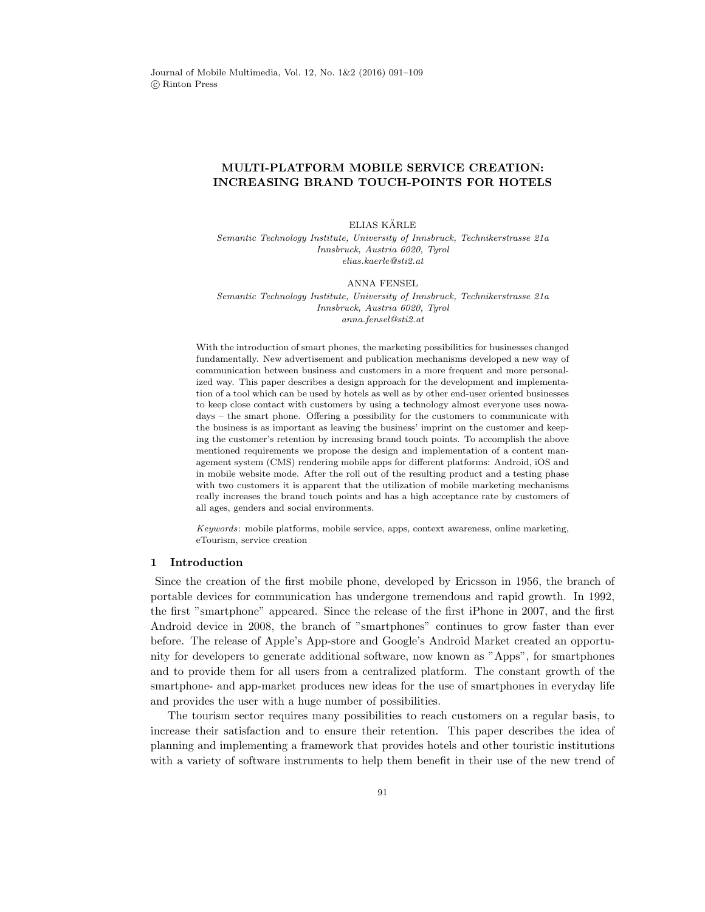# MULTI-PLATFORM MOBILE SERVICE CREATION: INCREASING BRAND TOUCH-POINTS FOR HOTELS

#### ELIAS KÄRLE

Semantic Technology Institute, University of Innsbruck, Technikerstrasse 21a Innsbruck, Austria 6020, Tyrol elias.kaerle@sti2.at

#### ANNA FENSEL

Semantic Technology Institute, University of Innsbruck, Technikerstrasse 21a Innsbruck, Austria 6020, Tyrol anna.fensel@sti2.at

With the introduction of smart phones, the marketing possibilities for businesses changed fundamentally. New advertisement and publication mechanisms developed a new way of communication between business and customers in a more frequent and more personalized way. This paper describes a design approach for the development and implementation of a tool which can be used by hotels as well as by other end-user oriented businesses to keep close contact with customers by using a technology almost everyone uses nowadays – the smart phone. Offering a possibility for the customers to communicate with the business is as important as leaving the business' imprint on the customer and keeping the customer's retention by increasing brand touch points. To accomplish the above mentioned requirements we propose the design and implementation of a content management system (CMS) rendering mobile apps for different platforms: Android, iOS and in mobile website mode. After the roll out of the resulting product and a testing phase with two customers it is apparent that the utilization of mobile marketing mechanisms really increases the brand touch points and has a high acceptance rate by customers of all ages, genders and social environments.

Keywords: mobile platforms, mobile service, apps, context awareness, online marketing, eTourism, service creation

### 1 Introduction

Since the creation of the first mobile phone, developed by Ericsson in 1956, the branch of portable devices for communication has undergone tremendous and rapid growth. In 1992, the first "smartphone" appeared. Since the release of the first iPhone in 2007, and the first Android device in 2008, the branch of "smartphones" continues to grow faster than ever before. The release of Apple's App-store and Google's Android Market created an opportunity for developers to generate additional software, now known as "Apps", for smartphones and to provide them for all users from a centralized platform. The constant growth of the smartphone- and app-market produces new ideas for the use of smartphones in everyday life and provides the user with a huge number of possibilities.

The tourism sector requires many possibilities to reach customers on a regular basis, to increase their satisfaction and to ensure their retention. This paper describes the idea of planning and implementing a framework that provides hotels and other touristic institutions with a variety of software instruments to help them benefit in their use of the new trend of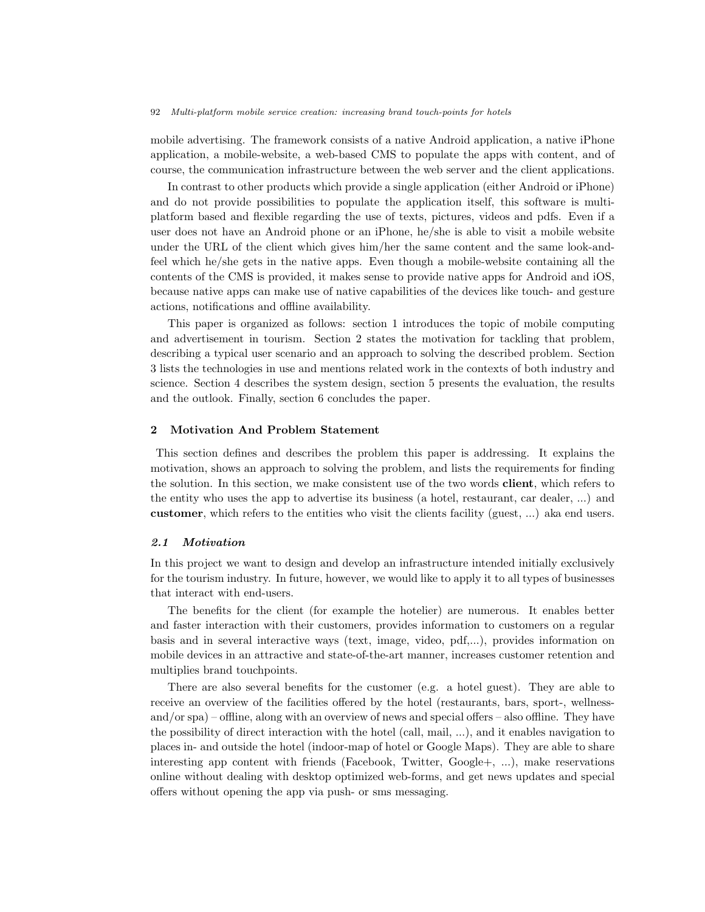mobile advertising. The framework consists of a native Android application, a native iPhone application, a mobile-website, a web-based CMS to populate the apps with content, and of course, the communication infrastructure between the web server and the client applications.

In contrast to other products which provide a single application (either Android or iPhone) and do not provide possibilities to populate the application itself, this software is multiplatform based and flexible regarding the use of texts, pictures, videos and pdfs. Even if a user does not have an Android phone or an iPhone, he/she is able to visit a mobile website under the URL of the client which gives him/her the same content and the same look-andfeel which he/she gets in the native apps. Even though a mobile-website containing all the contents of the CMS is provided, it makes sense to provide native apps for Android and iOS, because native apps can make use of native capabilities of the devices like touch- and gesture actions, notifications and offline availability.

This paper is organized as follows: section 1 introduces the topic of mobile computing and advertisement in tourism. Section 2 states the motivation for tackling that problem, describing a typical user scenario and an approach to solving the described problem. Section 3 lists the technologies in use and mentions related work in the contexts of both industry and science. Section 4 describes the system design, section 5 presents the evaluation, the results and the outlook. Finally, section 6 concludes the paper.

## 2 Motivation And Problem Statement

This section defines and describes the problem this paper is addressing. It explains the motivation, shows an approach to solving the problem, and lists the requirements for finding the solution. In this section, we make consistent use of the two words client, which refers to the entity who uses the app to advertise its business (a hotel, restaurant, car dealer, ...) and customer, which refers to the entities who visit the clients facility (guest, ...) aka end users.

#### 2.1 Motivation

In this project we want to design and develop an infrastructure intended initially exclusively for the tourism industry. In future, however, we would like to apply it to all types of businesses that interact with end-users.

The benefits for the client (for example the hotelier) are numerous. It enables better and faster interaction with their customers, provides information to customers on a regular basis and in several interactive ways (text, image, video, pdf,...), provides information on mobile devices in an attractive and state-of-the-art manner, increases customer retention and multiplies brand touchpoints.

There are also several benefits for the customer (e.g. a hotel guest). They are able to receive an overview of the facilities offered by the hotel (restaurants, bars, sport-, wellnessand/or spa) – offline, along with an overview of news and special offers – also offline. They have the possibility of direct interaction with the hotel (call, mail, ...), and it enables navigation to places in- and outside the hotel (indoor-map of hotel or Google Maps). They are able to share interesting app content with friends (Facebook, Twitter, Google+, ...), make reservations online without dealing with desktop optimized web-forms, and get news updates and special offers without opening the app via push- or sms messaging.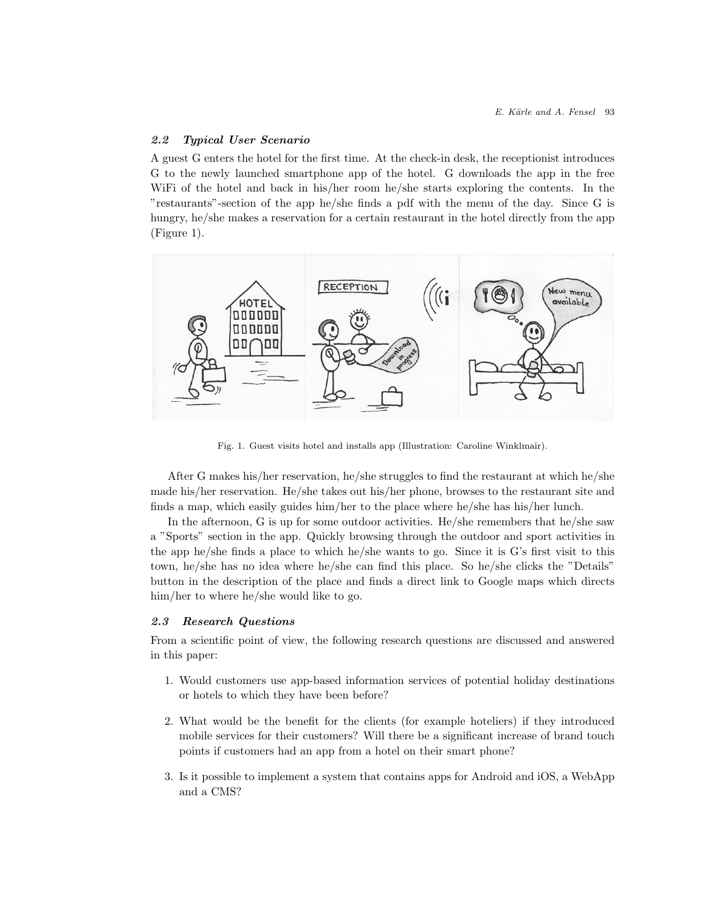## 2.2 Typical User Scenario

A guest G enters the hotel for the first time. At the check-in desk, the receptionist introduces G to the newly launched smartphone app of the hotel. G downloads the app in the free WiFi of the hotel and back in his/her room he/she starts exploring the contents. In the "restaurants"-section of the app he/she finds a pdf with the menu of the day. Since G is hungry, he/she makes a reservation for a certain restaurant in the hotel directly from the app (Figure 1).



Fig. 1. Guest visits hotel and installs app (Illustration: Caroline Winklmair).

After G makes his/her reservation, he/she struggles to find the restaurant at which he/she made his/her reservation. He/she takes out his/her phone, browses to the restaurant site and finds a map, which easily guides him/her to the place where he/she has his/her lunch.

In the afternoon, G is up for some outdoor activities. He/she remembers that he/she saw a "Sports" section in the app. Quickly browsing through the outdoor and sport activities in the app he/she finds a place to which he/she wants to go. Since it is G's first visit to this town, he/she has no idea where he/she can find this place. So he/she clicks the "Details" button in the description of the place and finds a direct link to Google maps which directs him/her to where he/she would like to go.

## 2.3 Research Questions

From a scientific point of view, the following research questions are discussed and answered in this paper:

- 1. Would customers use app-based information services of potential holiday destinations or hotels to which they have been before?
- 2. What would be the benefit for the clients (for example hoteliers) if they introduced mobile services for their customers? Will there be a significant increase of brand touch points if customers had an app from a hotel on their smart phone?
- 3. Is it possible to implement a system that contains apps for Android and iOS, a WebApp and a CMS?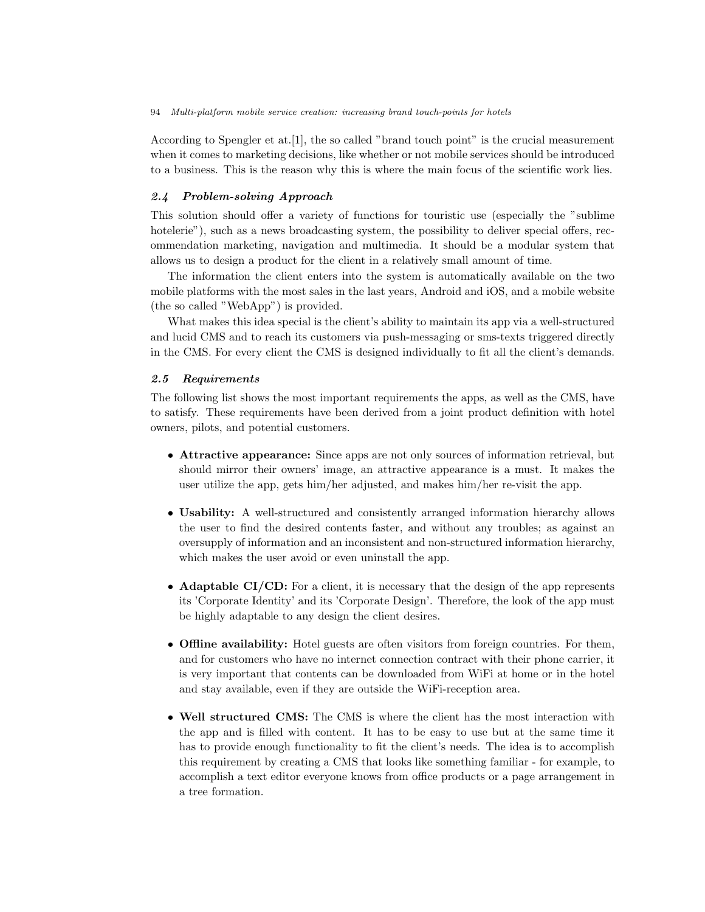According to Spengler et at.[1], the so called "brand touch point" is the crucial measurement when it comes to marketing decisions, like whether or not mobile services should be introduced to a business. This is the reason why this is where the main focus of the scientific work lies.

### 2.4 Problem-solving Approach

This solution should offer a variety of functions for touristic use (especially the "sublime hotelerie"), such as a news broadcasting system, the possibility to deliver special offers, recommendation marketing, navigation and multimedia. It should be a modular system that allows us to design a product for the client in a relatively small amount of time.

The information the client enters into the system is automatically available on the two mobile platforms with the most sales in the last years, Android and iOS, and a mobile website (the so called "WebApp") is provided.

What makes this idea special is the client's ability to maintain its app via a well-structured and lucid CMS and to reach its customers via push-messaging or sms-texts triggered directly in the CMS. For every client the CMS is designed individually to fit all the client's demands.

### 2.5 Requirements

The following list shows the most important requirements the apps, as well as the CMS, have to satisfy. These requirements have been derived from a joint product definition with hotel owners, pilots, and potential customers.

- Attractive appearance: Since apps are not only sources of information retrieval, but should mirror their owners' image, an attractive appearance is a must. It makes the user utilize the app, gets him/her adjusted, and makes him/her re-visit the app.
- Usability: A well-structured and consistently arranged information hierarchy allows the user to find the desired contents faster, and without any troubles; as against an oversupply of information and an inconsistent and non-structured information hierarchy, which makes the user avoid or even uninstall the app.
- **Adaptable CI/CD:** For a client, it is necessary that the design of the app represents its 'Corporate Identity' and its 'Corporate Design'. Therefore, the look of the app must be highly adaptable to any design the client desires.
- Offline availability: Hotel guests are often visitors from foreign countries. For them, and for customers who have no internet connection contract with their phone carrier, it is very important that contents can be downloaded from WiFi at home or in the hotel and stay available, even if they are outside the WiFi-reception area.
- Well structured CMS: The CMS is where the client has the most interaction with the app and is filled with content. It has to be easy to use but at the same time it has to provide enough functionality to fit the client's needs. The idea is to accomplish this requirement by creating a CMS that looks like something familiar - for example, to accomplish a text editor everyone knows from office products or a page arrangement in a tree formation.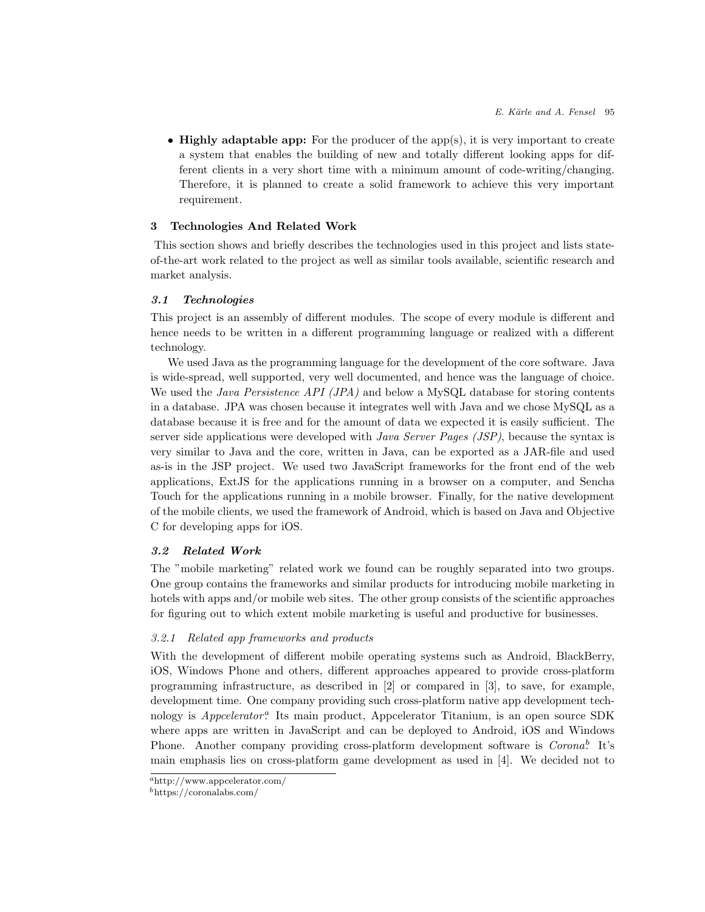$\bullet$  Highly adaptable app: For the producer of the app(s), it is very important to create a system that enables the building of new and totally different looking apps for different clients in a very short time with a minimum amount of code-writing/changing. Therefore, it is planned to create a solid framework to achieve this very important requirement.

## 3 Technologies And Related Work

This section shows and briefly describes the technologies used in this project and lists stateof-the-art work related to the project as well as similar tools available, scientific research and market analysis.

### 3.1 Technologies

This project is an assembly of different modules. The scope of every module is different and hence needs to be written in a different programming language or realized with a different technology.

We used Java as the programming language for the development of the core software. Java is wide-spread, well supported, very well documented, and hence was the language of choice. We used the *Java Persistence API (JPA)* and below a MySQL database for storing contents in a database. JPA was chosen because it integrates well with Java and we chose MySQL as a database because it is free and for the amount of data we expected it is easily sufficient. The server side applications were developed with *Java Server Pages (JSP)*, because the syntax is very similar to Java and the core, written in Java, can be exported as a JAR-file and used as-is in the JSP project. We used two JavaScript frameworks for the front end of the web applications, ExtJS for the applications running in a browser on a computer, and Sencha Touch for the applications running in a mobile browser. Finally, for the native development of the mobile clients, we used the framework of Android, which is based on Java and Objective C for developing apps for iOS.

# 3.2 Related Work

The "mobile marketing" related work we found can be roughly separated into two groups. One group contains the frameworks and similar products for introducing mobile marketing in hotels with apps and/or mobile web sites. The other group consists of the scientific approaches for figuring out to which extent mobile marketing is useful and productive for businesses.

## 3.2.1 Related app frameworks and products

With the development of different mobile operating systems such as Android, BlackBerry, iOS, Windows Phone and others, different approaches appeared to provide cross-platform programming infrastructure, as described in [2] or compared in [3], to save, for example, development time. One company providing such cross-platform native app development technology is *Appcelerator*<sup>*a*</sup> Its main product, Appcelerator Titanium, is an open source SDK where apps are written in JavaScript and can be deployed to Android, iOS and Windows Phone. Another company providing cross-platform development software is Corona<sup>b</sup> It's main emphasis lies on cross-platform game development as used in [4]. We decided not to

<sup>a</sup>http://www.appcelerator.com/

 $^{b}$ https://coronalabs.com/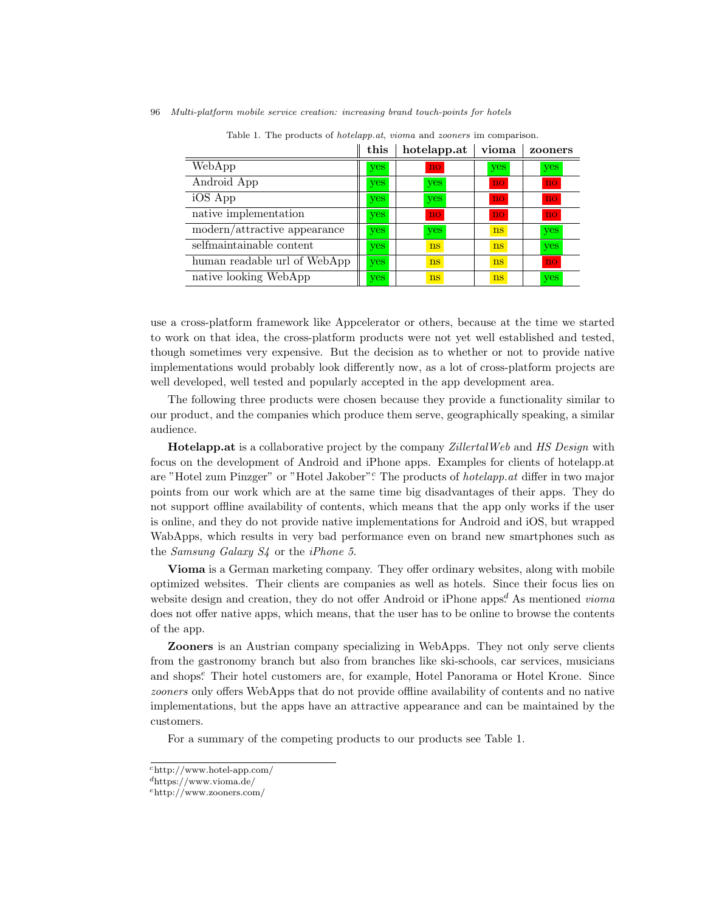|                              | this       | hotelapp.at   | vioma         | zooners |
|------------------------------|------------|---------------|---------------|---------|
| WebApp                       | yes        | no            | yes           | yes     |
| Android App                  | yes        | yes           | no            | no      |
| iOS App                      | yes        | yes           | no            | no      |
| native implementation        | <b>yes</b> | no.           | no            | no      |
| modern/attractive appearance | yes        | yes           | <sub>ns</sub> | yes     |
| selfmaintainable content     | <b>yes</b> | <sub>ns</sub> | ns            | yes     |
| human readable url of WebApp | yes        | ns            | ns            | no      |
| native looking WebApp        | yes        | ns            | <sub>ns</sub> | yes     |

96 Multi-platform mobile service creation: increasing brand touch-points for hotels

Table 1. The products of hotelapp.at, vioma and zooners im comparison.

use a cross-platform framework like Appcelerator or others, because at the time we started to work on that idea, the cross-platform products were not yet well established and tested, though sometimes very expensive. But the decision as to whether or not to provide native implementations would probably look differently now, as a lot of cross-platform projects are well developed, well tested and popularly accepted in the app development area.

The following three products were chosen because they provide a functionality similar to our product, and the companies which produce them serve, geographically speaking, a similar audience.

Hotelapp.at is a collaborative project by the company ZillertalWeb and HS Design with focus on the development of Android and iPhone apps. Examples for clients of hotelapp.at are "Hotel zum Pinzger" or "Hotel Jakober". The products of *hotelapp.at* differ in two major points from our work which are at the same time big disadvantages of their apps. They do not support offline availability of contents, which means that the app only works if the user is online, and they do not provide native implementations for Android and iOS, but wrapped WabApps, which results in very bad performance even on brand new smartphones such as the Samsung Galaxy S4 or the iPhone 5.

Vioma is a German marketing company. They offer ordinary websites, along with mobile optimized websites. Their clients are companies as well as hotels. Since their focus lies on website design and creation, they do not offer Android or iPhone apps.<sup>d</sup> As mentioned *vioma* does not offer native apps, which means, that the user has to be online to browse the contents of the app.

Zooners is an Austrian company specializing in WebApps. They not only serve clients from the gastronomy branch but also from branches like ski-schools, car services, musicians and shops.<sup>e</sup> Their hotel customers are, for example, Hotel Panorama or Hotel Krone. Since zooners only offers WebApps that do not provide offline availability of contents and no native implementations, but the apps have an attractive appearance and can be maintained by the customers.

For a summary of the competing products to our products see Table 1.

 $\text{c}$ http://www.hotel-app.com/

<sup>d</sup>https://www.vioma.de/

<sup>e</sup>http://www.zooners.com/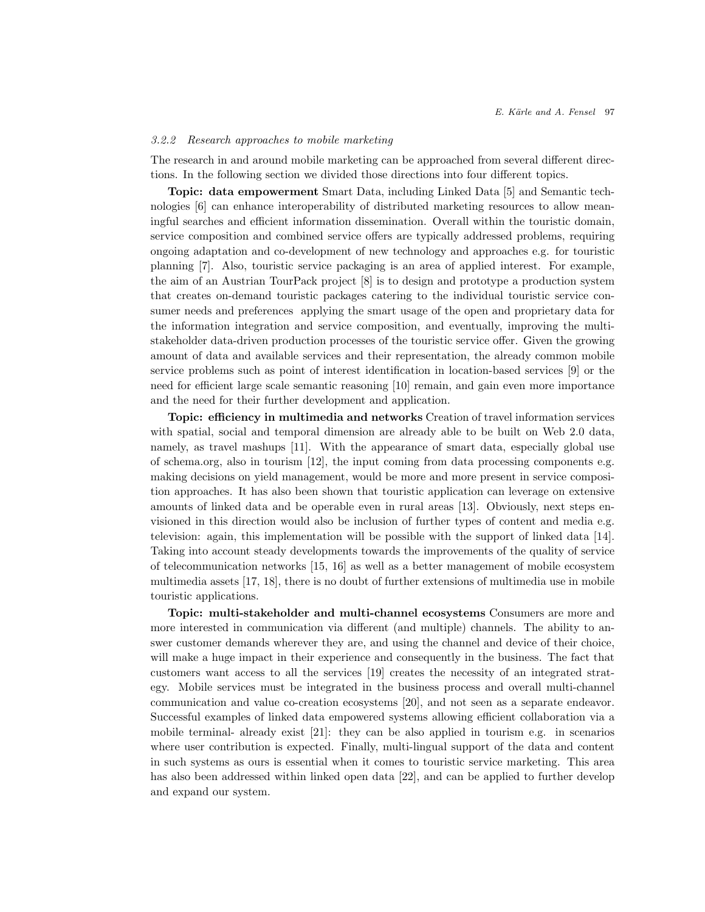### 3.2.2 Research approaches to mobile marketing

The research in and around mobile marketing can be approached from several different directions. In the following section we divided those directions into four different topics.

Topic: data empowerment Smart Data, including Linked Data [5] and Semantic technologies [6] can enhance interoperability of distributed marketing resources to allow meaningful searches and efficient information dissemination. Overall within the touristic domain, service composition and combined service offers are typically addressed problems, requiring ongoing adaptation and co-development of new technology and approaches e.g. for touristic planning [7]. Also, touristic service packaging is an area of applied interest. For example, the aim of an Austrian TourPack project [8] is to design and prototype a production system that creates on-demand touristic packages catering to the individual touristic service consumer needs and preferences applying the smart usage of the open and proprietary data for the information integration and service composition, and eventually, improving the multistakeholder data-driven production processes of the touristic service offer. Given the growing amount of data and available services and their representation, the already common mobile service problems such as point of interest identification in location-based services [9] or the need for efficient large scale semantic reasoning [10] remain, and gain even more importance and the need for their further development and application.

Topic: efficiency in multimedia and networks Creation of travel information services with spatial, social and temporal dimension are already able to be built on Web 2.0 data, namely, as travel mashups [11]. With the appearance of smart data, especially global use of schema.org, also in tourism [12], the input coming from data processing components e.g. making decisions on yield management, would be more and more present in service composition approaches. It has also been shown that touristic application can leverage on extensive amounts of linked data and be operable even in rural areas [13]. Obviously, next steps envisioned in this direction would also be inclusion of further types of content and media e.g. television: again, this implementation will be possible with the support of linked data [14]. Taking into account steady developments towards the improvements of the quality of service of telecommunication networks [15, 16] as well as a better management of mobile ecosystem multimedia assets [17, 18], there is no doubt of further extensions of multimedia use in mobile touristic applications.

Topic: multi-stakeholder and multi-channel ecosystems Consumers are more and more interested in communication via different (and multiple) channels. The ability to answer customer demands wherever they are, and using the channel and device of their choice, will make a huge impact in their experience and consequently in the business. The fact that customers want access to all the services [19] creates the necessity of an integrated strategy. Mobile services must be integrated in the business process and overall multi-channel communication and value co-creation ecosystems [20], and not seen as a separate endeavor. Successful examples of linked data empowered systems allowing efficient collaboration via a mobile terminal- already exist [21]: they can be also applied in tourism e.g. in scenarios where user contribution is expected. Finally, multi-lingual support of the data and content in such systems as ours is essential when it comes to touristic service marketing. This area has also been addressed within linked open data [22], and can be applied to further develop and expand our system.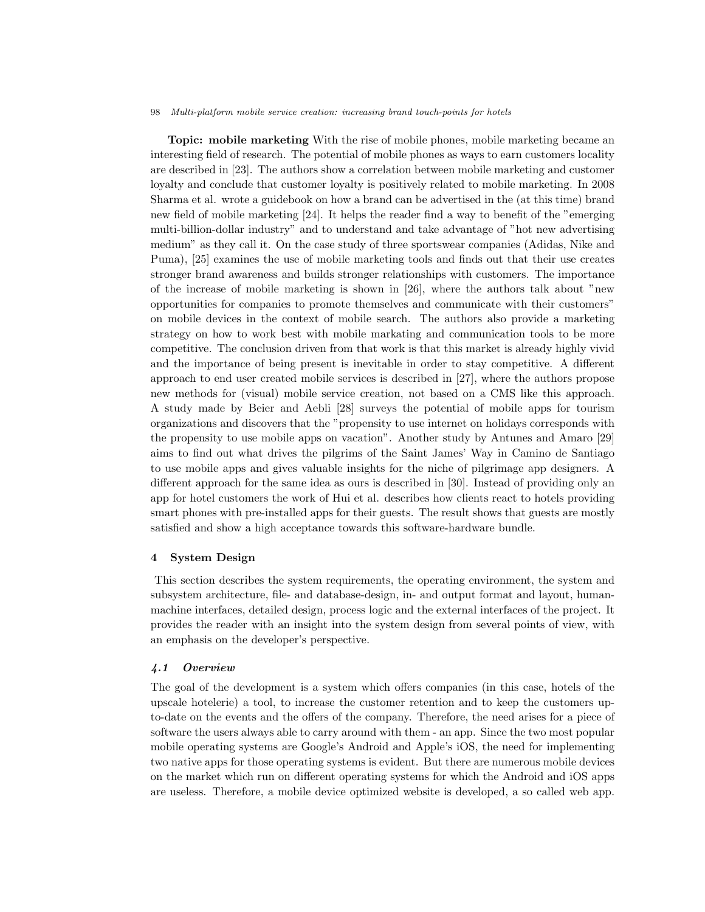Topic: mobile marketing With the rise of mobile phones, mobile marketing became an interesting field of research. The potential of mobile phones as ways to earn customers locality are described in [23]. The authors show a correlation between mobile marketing and customer loyalty and conclude that customer loyalty is positively related to mobile marketing. In 2008 Sharma et al. wrote a guidebook on how a brand can be advertised in the (at this time) brand new field of mobile marketing [24]. It helps the reader find a way to benefit of the "emerging multi-billion-dollar industry" and to understand and take advantage of "hot new advertising medium" as they call it. On the case study of three sportswear companies (Adidas, Nike and Puma), [25] examines the use of mobile marketing tools and finds out that their use creates stronger brand awareness and builds stronger relationships with customers. The importance of the increase of mobile marketing is shown in [26], where the authors talk about "new opportunities for companies to promote themselves and communicate with their customers" on mobile devices in the context of mobile search. The authors also provide a marketing strategy on how to work best with mobile markating and communication tools to be more competitive. The conclusion driven from that work is that this market is already highly vivid and the importance of being present is inevitable in order to stay competitive. A different approach to end user created mobile services is described in [27], where the authors propose new methods for (visual) mobile service creation, not based on a CMS like this approach. A study made by Beier and Aebli [28] surveys the potential of mobile apps for tourism organizations and discovers that the "propensity to use internet on holidays corresponds with the propensity to use mobile apps on vacation". Another study by Antunes and Amaro [29] aims to find out what drives the pilgrims of the Saint James' Way in Camino de Santiago to use mobile apps and gives valuable insights for the niche of pilgrimage app designers. A different approach for the same idea as ours is described in [30]. Instead of providing only an app for hotel customers the work of Hui et al. describes how clients react to hotels providing smart phones with pre-installed apps for their guests. The result shows that guests are mostly satisfied and show a high acceptance towards this software-hardware bundle.

#### 4 System Design

This section describes the system requirements, the operating environment, the system and subsystem architecture, file- and database-design, in- and output format and layout, humanmachine interfaces, detailed design, process logic and the external interfaces of the project. It provides the reader with an insight into the system design from several points of view, with an emphasis on the developer's perspective.

#### 4.1 Overview

The goal of the development is a system which offers companies (in this case, hotels of the upscale hotelerie) a tool, to increase the customer retention and to keep the customers upto-date on the events and the offers of the company. Therefore, the need arises for a piece of software the users always able to carry around with them - an app. Since the two most popular mobile operating systems are Google's Android and Apple's iOS, the need for implementing two native apps for those operating systems is evident. But there are numerous mobile devices on the market which run on different operating systems for which the Android and iOS apps are useless. Therefore, a mobile device optimized website is developed, a so called web app.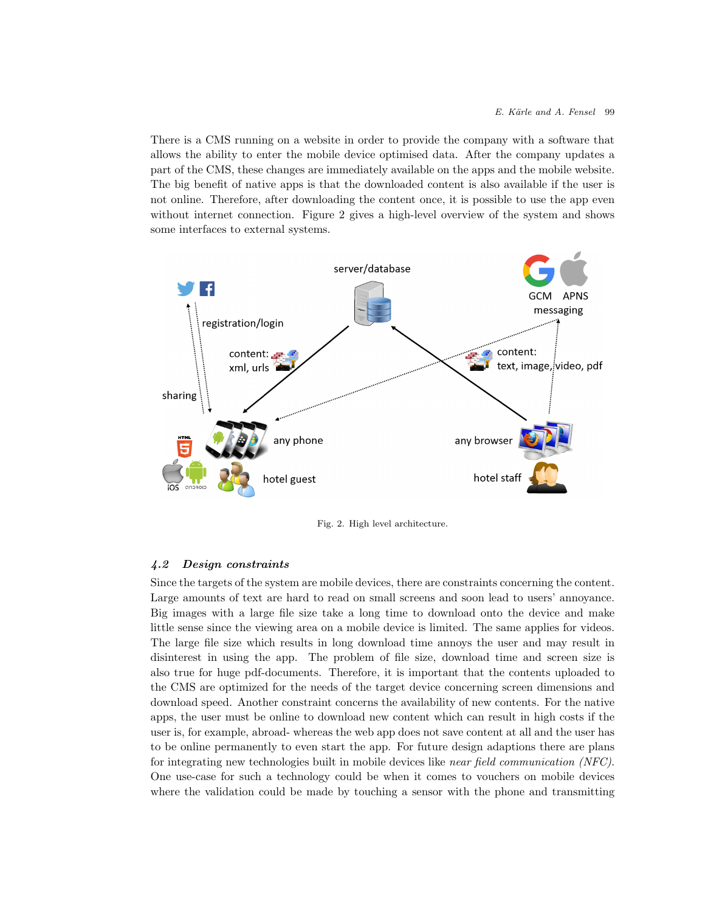There is a CMS running on a website in order to provide the company with a software that allows the ability to enter the mobile device optimised data. After the company updates a part of the CMS, these changes are immediately available on the apps and the mobile website. The big benefit of native apps is that the downloaded content is also available if the user is not online. Therefore, after downloading the content once, it is possible to use the app even without internet connection. Figure 2 gives a high-level overview of the system and shows some interfaces to external systems.



Fig. 2. High level architecture.

### 4.2 Design constraints

Since the targets of the system are mobile devices, there are constraints concerning the content. Large amounts of text are hard to read on small screens and soon lead to users' annoyance. Big images with a large file size take a long time to download onto the device and make little sense since the viewing area on a mobile device is limited. The same applies for videos. The large file size which results in long download time annoys the user and may result in disinterest in using the app. The problem of file size, download time and screen size is also true for huge pdf-documents. Therefore, it is important that the contents uploaded to the CMS are optimized for the needs of the target device concerning screen dimensions and download speed. Another constraint concerns the availability of new contents. For the native apps, the user must be online to download new content which can result in high costs if the user is, for example, abroad- whereas the web app does not save content at all and the user has to be online permanently to even start the app. For future design adaptions there are plans for integrating new technologies built in mobile devices like near field communication (NFC). One use-case for such a technology could be when it comes to vouchers on mobile devices where the validation could be made by touching a sensor with the phone and transmitting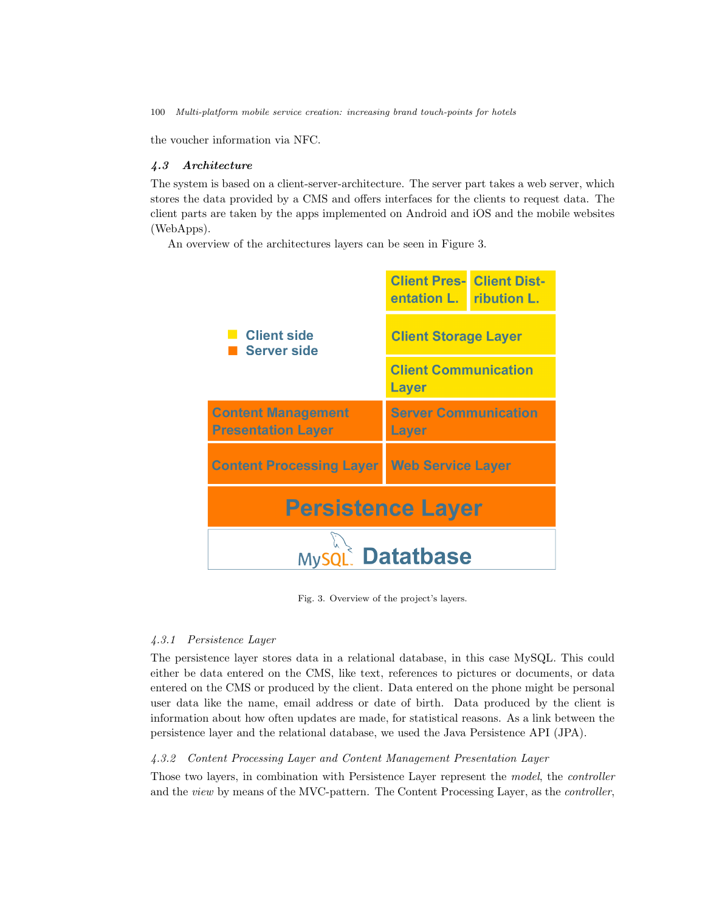the voucher information via NFC.

## 4.3 Architecture

The system is based on a client-server-architecture. The server part takes a web server, which stores the data provided by a CMS and offers interfaces for the clients to request data. The client parts are taken by the apps implemented on Android and iOS and the mobile websites (WebApps).

An overview of the architectures layers can be seen in Figure 3.



Fig. 3. Overview of the project's layers.

### 4.3.1 Persistence Layer

The persistence layer stores data in a relational database, in this case MySQL. This could either be data entered on the CMS, like text, references to pictures or documents, or data entered on the CMS or produced by the client. Data entered on the phone might be personal user data like the name, email address or date of birth. Data produced by the client is information about how often updates are made, for statistical reasons. As a link between the persistence layer and the relational database, we used the Java Persistence API (JPA).

# 4.3.2 Content Processing Layer and Content Management Presentation Layer

Those two layers, in combination with Persistence Layer represent the model, the controller and the view by means of the MVC-pattern. The Content Processing Layer, as the controller,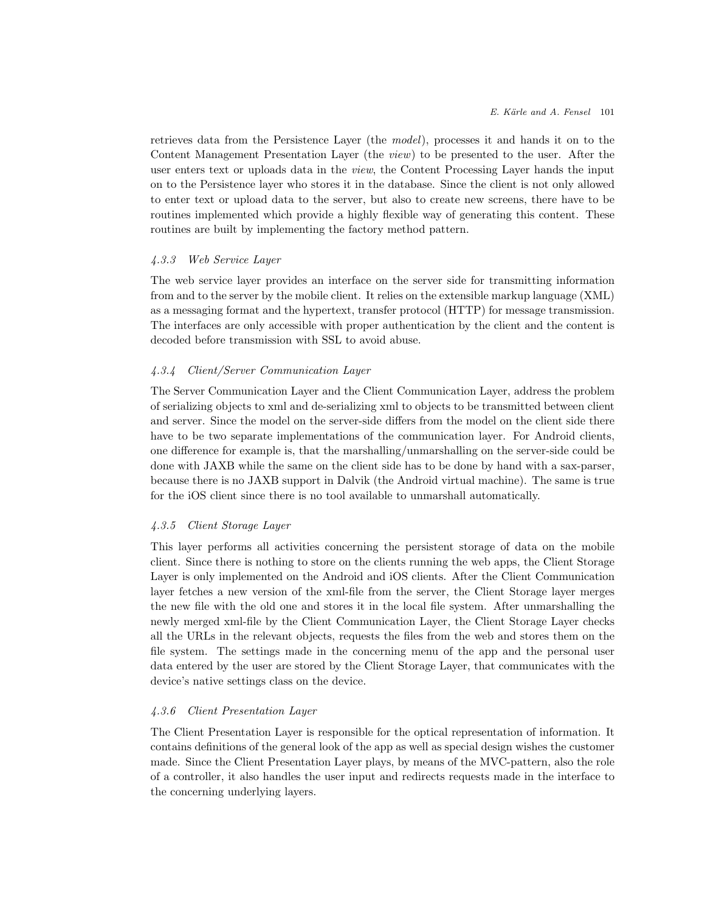retrieves data from the Persistence Layer (the model), processes it and hands it on to the Content Management Presentation Layer (the view) to be presented to the user. After the user enters text or uploads data in the view, the Content Processing Layer hands the input on to the Persistence layer who stores it in the database. Since the client is not only allowed to enter text or upload data to the server, but also to create new screens, there have to be routines implemented which provide a highly flexible way of generating this content. These routines are built by implementing the factory method pattern.

### 4.3.3 Web Service Layer

The web service layer provides an interface on the server side for transmitting information from and to the server by the mobile client. It relies on the extensible markup language (XML) as a messaging format and the hypertext, transfer protocol (HTTP) for message transmission. The interfaces are only accessible with proper authentication by the client and the content is decoded before transmission with SSL to avoid abuse.

#### 4.3.4 Client/Server Communication Layer

The Server Communication Layer and the Client Communication Layer, address the problem of serializing objects to xml and de-serializing xml to objects to be transmitted between client and server. Since the model on the server-side differs from the model on the client side there have to be two separate implementations of the communication layer. For Android clients, one difference for example is, that the marshalling/unmarshalling on the server-side could be done with JAXB while the same on the client side has to be done by hand with a sax-parser, because there is no JAXB support in Dalvik (the Android virtual machine). The same is true for the iOS client since there is no tool available to unmarshall automatically.

## 4.3.5 Client Storage Layer

This layer performs all activities concerning the persistent storage of data on the mobile client. Since there is nothing to store on the clients running the web apps, the Client Storage Layer is only implemented on the Android and iOS clients. After the Client Communication layer fetches a new version of the xml-file from the server, the Client Storage layer merges the new file with the old one and stores it in the local file system. After unmarshalling the newly merged xml-file by the Client Communication Layer, the Client Storage Layer checks all the URLs in the relevant objects, requests the files from the web and stores them on the file system. The settings made in the concerning menu of the app and the personal user data entered by the user are stored by the Client Storage Layer, that communicates with the device's native settings class on the device.

### 4.3.6 Client Presentation Layer

The Client Presentation Layer is responsible for the optical representation of information. It contains definitions of the general look of the app as well as special design wishes the customer made. Since the Client Presentation Layer plays, by means of the MVC-pattern, also the role of a controller, it also handles the user input and redirects requests made in the interface to the concerning underlying layers.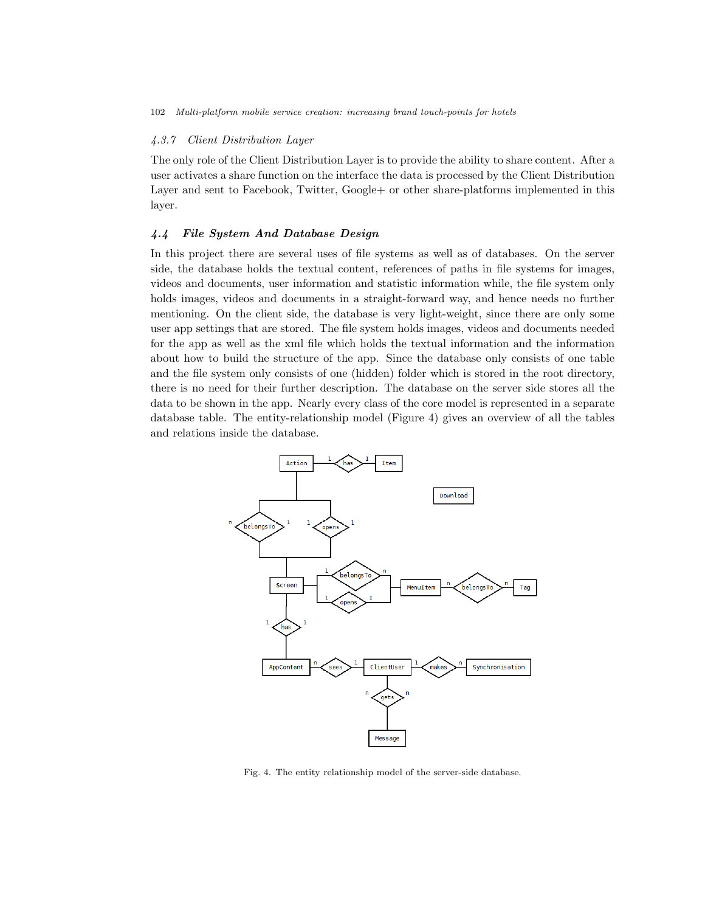# 4.3.7 Client Distribution Layer

The only role of the Client Distribution Layer is to provide the ability to share content. After a user activates a share function on the interface the data is processed by the Client Distribution Layer and sent to Facebook, Twitter, Google+ or other share-platforms implemented in this layer.

## 4.4 File System And Database Design

In this project there are several uses of file systems as well as of databases. On the server side, the database holds the textual content, references of paths in file systems for images, videos and documents, user information and statistic information while, the file system only holds images, videos and documents in a straight-forward way, and hence needs no further mentioning. On the client side, the database is very light-weight, since there are only some user app settings that are stored. The file system holds images, videos and documents needed for the app as well as the xml file which holds the textual information and the information about how to build the structure of the app. Since the database only consists of one table and the file system only consists of one (hidden) folder which is stored in the root directory, there is no need for their further description. The database on the server side stores all the data to be shown in the app. Nearly every class of the core model is represented in a separate database table. The entity-relationship model (Figure 4) gives an overview of all the tables and relations inside the database.



Fig. 4. The entity relationship model of the server-side database.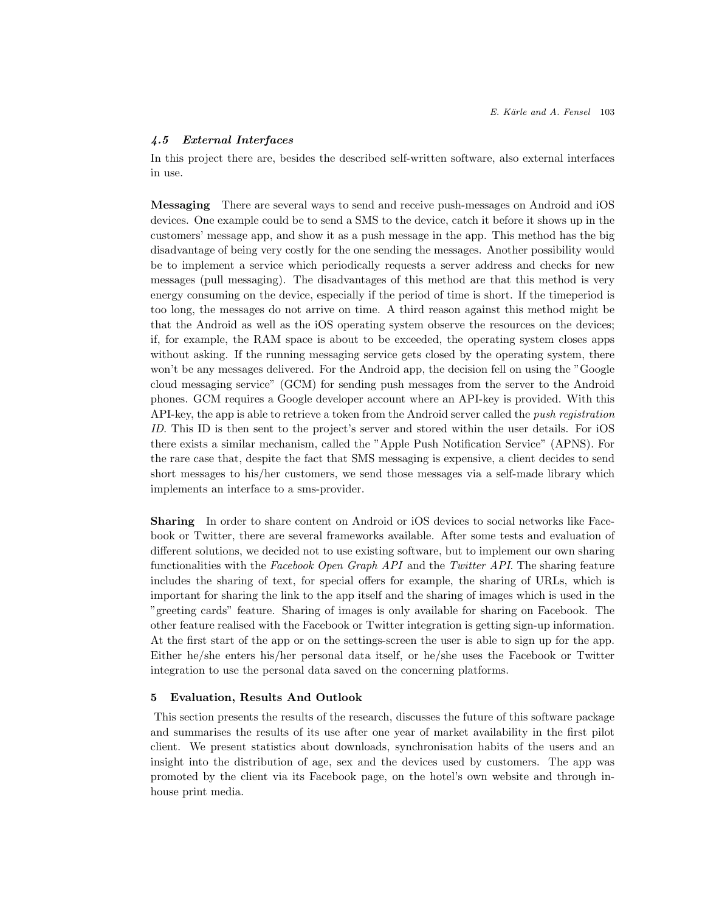## 4.5 External Interfaces

In this project there are, besides the described self-written software, also external interfaces in use.

Messaging There are several ways to send and receive push-messages on Android and iOS devices. One example could be to send a SMS to the device, catch it before it shows up in the customers' message app, and show it as a push message in the app. This method has the big disadvantage of being very costly for the one sending the messages. Another possibility would be to implement a service which periodically requests a server address and checks for new messages (pull messaging). The disadvantages of this method are that this method is very energy consuming on the device, especially if the period of time is short. If the timeperiod is too long, the messages do not arrive on time. A third reason against this method might be that the Android as well as the iOS operating system observe the resources on the devices; if, for example, the RAM space is about to be exceeded, the operating system closes apps without asking. If the running messaging service gets closed by the operating system, there won't be any messages delivered. For the Android app, the decision fell on using the "Google cloud messaging service" (GCM) for sending push messages from the server to the Android phones. GCM requires a Google developer account where an API-key is provided. With this API-key, the app is able to retrieve a token from the Android server called the push registration ID. This ID is then sent to the project's server and stored within the user details. For iOS there exists a similar mechanism, called the "Apple Push Notification Service" (APNS). For the rare case that, despite the fact that SMS messaging is expensive, a client decides to send short messages to his/her customers, we send those messages via a self-made library which implements an interface to a sms-provider.

Sharing In order to share content on Android or iOS devices to social networks like Facebook or Twitter, there are several frameworks available. After some tests and evaluation of different solutions, we decided not to use existing software, but to implement our own sharing functionalities with the Facebook Open Graph API and the Twitter API. The sharing feature includes the sharing of text, for special offers for example, the sharing of URLs, which is important for sharing the link to the app itself and the sharing of images which is used in the "greeting cards" feature. Sharing of images is only available for sharing on Facebook. The other feature realised with the Facebook or Twitter integration is getting sign-up information. At the first start of the app or on the settings-screen the user is able to sign up for the app. Either he/she enters his/her personal data itself, or he/she uses the Facebook or Twitter integration to use the personal data saved on the concerning platforms.

#### 5 Evaluation, Results And Outlook

This section presents the results of the research, discusses the future of this software package and summarises the results of its use after one year of market availability in the first pilot client. We present statistics about downloads, synchronisation habits of the users and an insight into the distribution of age, sex and the devices used by customers. The app was promoted by the client via its Facebook page, on the hotel's own website and through inhouse print media.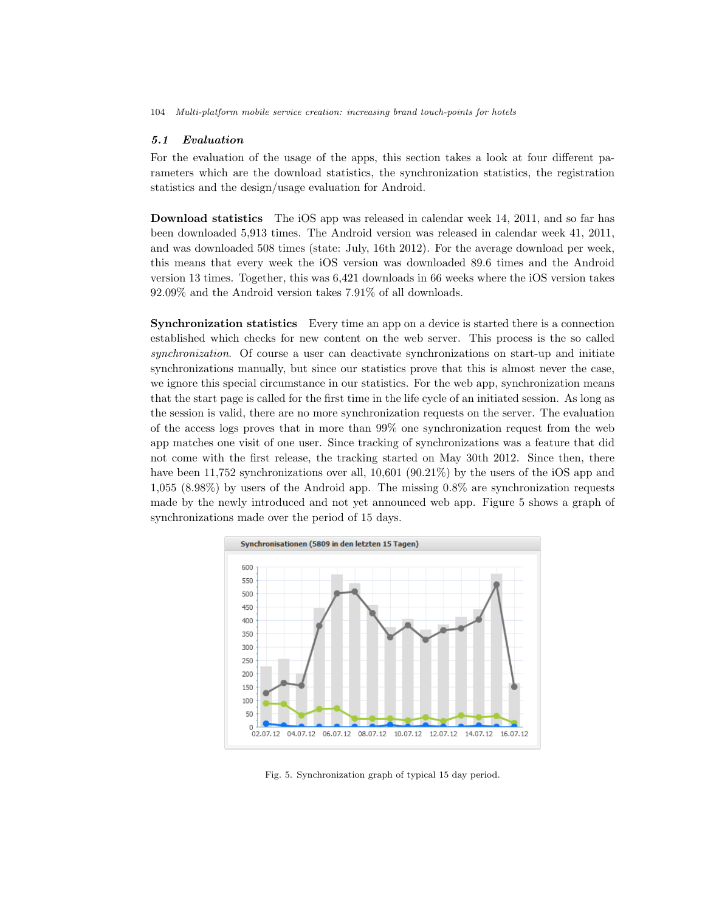# 5.1 Evaluation

For the evaluation of the usage of the apps, this section takes a look at four different parameters which are the download statistics, the synchronization statistics, the registration statistics and the design/usage evaluation for Android.

Download statistics The iOS app was released in calendar week 14, 2011, and so far has been downloaded 5,913 times. The Android version was released in calendar week 41, 2011, and was downloaded 508 times (state: July, 16th 2012). For the average download per week, this means that every week the iOS version was downloaded 89.6 times and the Android version 13 times. Together, this was 6,421 downloads in 66 weeks where the iOS version takes 92.09% and the Android version takes 7.91% of all downloads.

Synchronization statistics Every time an app on a device is started there is a connection established which checks for new content on the web server. This process is the so called synchronization. Of course a user can deactivate synchronizations on start-up and initiate synchronizations manually, but since our statistics prove that this is almost never the case, we ignore this special circumstance in our statistics. For the web app, synchronization means that the start page is called for the first time in the life cycle of an initiated session. As long as the session is valid, there are no more synchronization requests on the server. The evaluation of the access logs proves that in more than 99% one synchronization request from the web app matches one visit of one user. Since tracking of synchronizations was a feature that did not come with the first release, the tracking started on May 30th 2012. Since then, there have been 11,752 synchronizations over all, 10,601 (90.21%) by the users of the iOS app and 1,055 (8.98%) by users of the Android app. The missing 0.8% are synchronization requests made by the newly introduced and not yet announced web app. Figure 5 shows a graph of synchronizations made over the period of 15 days.



Fig. 5. Synchronization graph of typical 15 day period.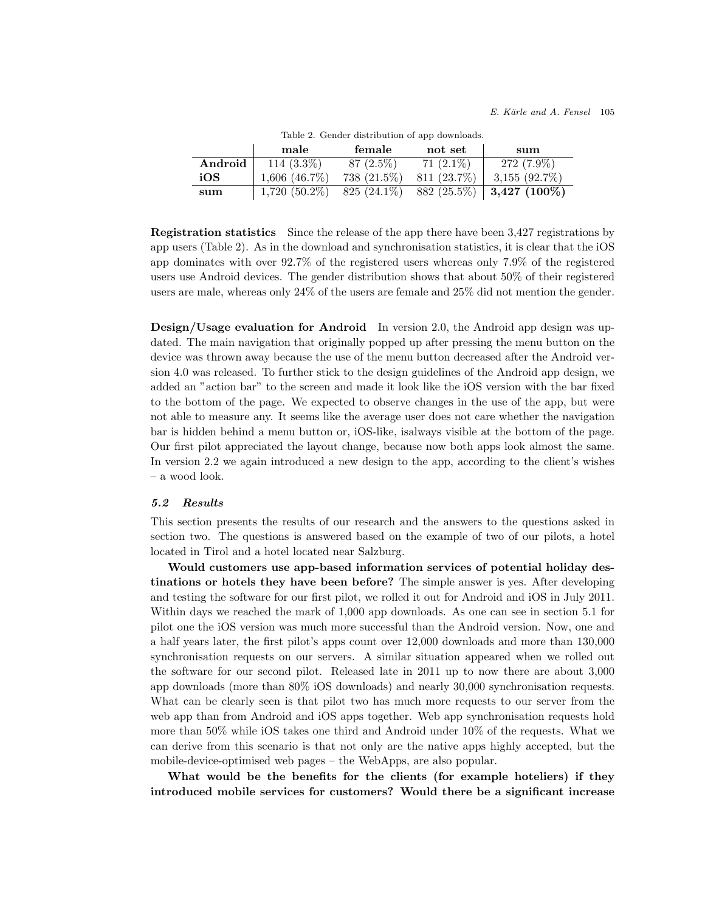|         | male               | female        | not set     | sum                               |
|---------|--------------------|---------------|-------------|-----------------------------------|
| Android | $114(3.3\%)$       | 87 (2.5%)     | $71(2.1\%)$ | $272(7.9\%)$                      |
| iOS     | $1,606$ $(46.7\%)$ | 738 (21.5%)   | 811 (23.7%) | $3,155$ $(92.7\%)$                |
| sum     | $1,720(50.2\%)$    | $825(24.1\%)$ |             | 882 (25.5%)   <b>3,427 (100%)</b> |

Table 2. Gender distribution of app downloads.

Registration statistics Since the release of the app there have been 3,427 registrations by app users (Table 2). As in the download and synchronisation statistics, it is clear that the iOS app dominates with over 92.7% of the registered users whereas only 7.9% of the registered users use Android devices. The gender distribution shows that about 50% of their registered users are male, whereas only 24% of the users are female and 25% did not mention the gender.

Design/Usage evaluation for Android In version 2.0, the Android app design was updated. The main navigation that originally popped up after pressing the menu button on the device was thrown away because the use of the menu button decreased after the Android version 4.0 was released. To further stick to the design guidelines of the Android app design, we added an "action bar" to the screen and made it look like the iOS version with the bar fixed to the bottom of the page. We expected to observe changes in the use of the app, but were not able to measure any. It seems like the average user does not care whether the navigation bar is hidden behind a menu button or, iOS-like, isalways visible at the bottom of the page. Our first pilot appreciated the layout change, because now both apps look almost the same. In version 2.2 we again introduced a new design to the app, according to the client's wishes – a wood look.

#### 5.2 Results

This section presents the results of our research and the answers to the questions asked in section two. The questions is answered based on the example of two of our pilots, a hotel located in Tirol and a hotel located near Salzburg.

Would customers use app-based information services of potential holiday destinations or hotels they have been before? The simple answer is yes. After developing and testing the software for our first pilot, we rolled it out for Android and iOS in July 2011. Within days we reached the mark of 1,000 app downloads. As one can see in section 5.1 for pilot one the iOS version was much more successful than the Android version. Now, one and a half years later, the first pilot's apps count over 12,000 downloads and more than 130,000 synchronisation requests on our servers. A similar situation appeared when we rolled out the software for our second pilot. Released late in 2011 up to now there are about 3,000 app downloads (more than 80% iOS downloads) and nearly 30,000 synchronisation requests. What can be clearly seen is that pilot two has much more requests to our server from the web app than from Android and iOS apps together. Web app synchronisation requests hold more than 50% while iOS takes one third and Android under 10% of the requests. What we can derive from this scenario is that not only are the native apps highly accepted, but the mobile-device-optimised web pages – the WebApps, are also popular.

What would be the benefits for the clients (for example hoteliers) if they introduced mobile services for customers? Would there be a significant increase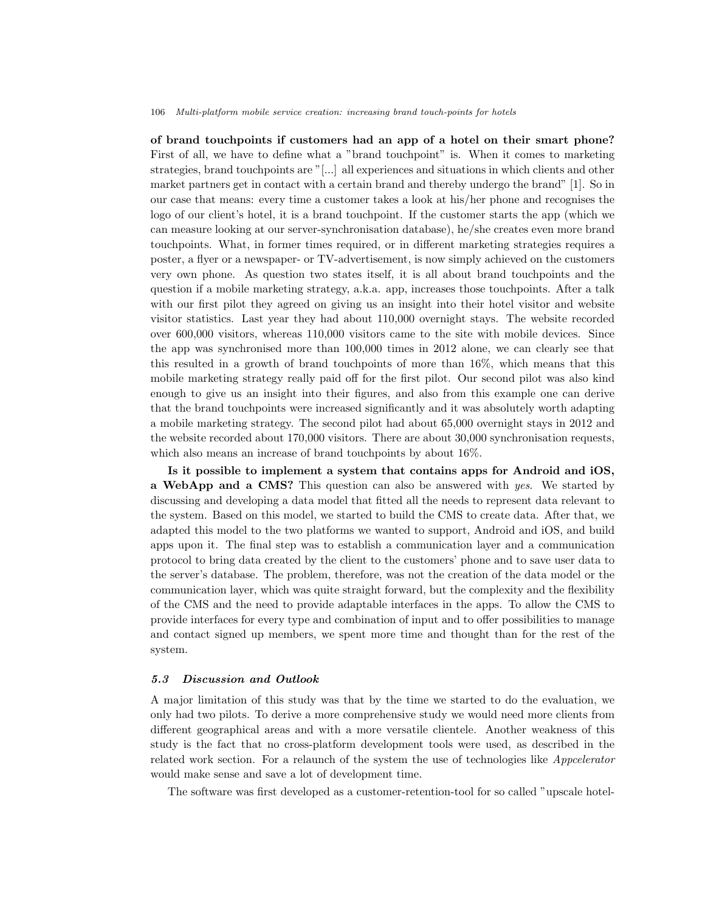of brand touchpoints if customers had an app of a hotel on their smart phone? First of all, we have to define what a "brand touchpoint" is. When it comes to marketing strategies, brand touchpoints are "[...] all experiences and situations in which clients and other market partners get in contact with a certain brand and thereby undergo the brand" [1]. So in our case that means: every time a customer takes a look at his/her phone and recognises the logo of our client's hotel, it is a brand touchpoint. If the customer starts the app (which we can measure looking at our server-synchronisation database), he/she creates even more brand touchpoints. What, in former times required, or in different marketing strategies requires a poster, a flyer or a newspaper- or TV-advertisement, is now simply achieved on the customers very own phone. As question two states itself, it is all about brand touchpoints and the question if a mobile marketing strategy, a.k.a. app, increases those touchpoints. After a talk with our first pilot they agreed on giving us an insight into their hotel visitor and website visitor statistics. Last year they had about 110,000 overnight stays. The website recorded over 600,000 visitors, whereas 110,000 visitors came to the site with mobile devices. Since the app was synchronised more than 100,000 times in 2012 alone, we can clearly see that this resulted in a growth of brand touchpoints of more than 16%, which means that this mobile marketing strategy really paid off for the first pilot. Our second pilot was also kind enough to give us an insight into their figures, and also from this example one can derive that the brand touchpoints were increased significantly and it was absolutely worth adapting a mobile marketing strategy. The second pilot had about 65,000 overnight stays in 2012 and the website recorded about 170,000 visitors. There are about 30,000 synchronisation requests, which also means an increase of brand touchpoints by about 16%.

Is it possible to implement a system that contains apps for Android and iOS, a WebApp and a CMS? This question can also be answered with yes. We started by discussing and developing a data model that fitted all the needs to represent data relevant to the system. Based on this model, we started to build the CMS to create data. After that, we adapted this model to the two platforms we wanted to support, Android and iOS, and build apps upon it. The final step was to establish a communication layer and a communication protocol to bring data created by the client to the customers' phone and to save user data to the server's database. The problem, therefore, was not the creation of the data model or the communication layer, which was quite straight forward, but the complexity and the flexibility of the CMS and the need to provide adaptable interfaces in the apps. To allow the CMS to provide interfaces for every type and combination of input and to offer possibilities to manage and contact signed up members, we spent more time and thought than for the rest of the system.

## 5.3 Discussion and Outlook

A major limitation of this study was that by the time we started to do the evaluation, we only had two pilots. To derive a more comprehensive study we would need more clients from different geographical areas and with a more versatile clientele. Another weakness of this study is the fact that no cross-platform development tools were used, as described in the related work section. For a relaunch of the system the use of technologies like *Appcelerator* would make sense and save a lot of development time.

The software was first developed as a customer-retention-tool for so called "upscale hotel-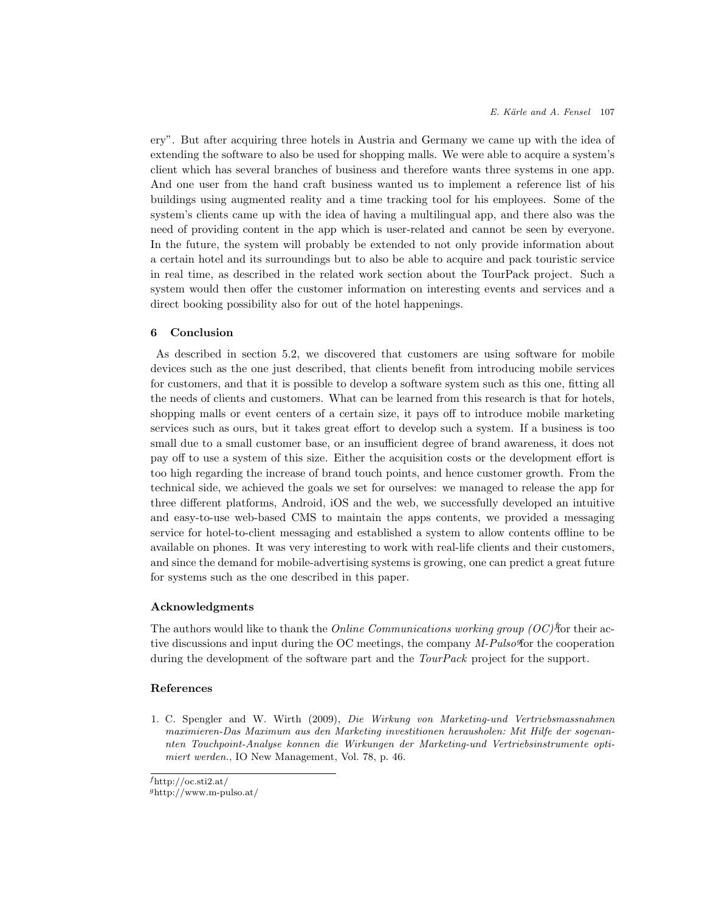ery". But after acquiring three hotels in Austria and Germany we came up with the idea of extending the software to also be used for shopping malls. We were able to acquire a system's client which has several branches of business and therefore wants three systems in one app. And one user from the hand craft business wanted us to implement a reference list of his buildings using augmented reality and a time tracking tool for his employees. Some of the system's clients came up with the idea of having a multilingual app, and there also was the need of providing content in the app which is user-related and cannot be seen by everyone. In the future, the system will probably be extended to not only provide information about a certain hotel and its surroundings but to also be able to acquire and pack touristic service in real time, as described in the related work section about the TourPack project. Such a system would then offer the customer information on interesting events and services and a direct booking possibility also for out of the hotel happenings.

### 6 Conclusion

As described in section 5.2, we discovered that customers are using software for mobile devices such as the one just described, that clients benefit from introducing mobile services for customers, and that it is possible to develop a software system such as this one, fitting all the needs of clients and customers. What can be learned from this research is that for hotels, shopping malls or event centers of a certain size, it pays off to introduce mobile marketing services such as ours, but it takes great effort to develop such a system. If a business is too small due to a small customer base, or an insufficient degree of brand awareness, it does not pay off to use a system of this size. Either the acquisition costs or the development effort is too high regarding the increase of brand touch points, and hence customer growth. From the technical side, we achieved the goals we set for ourselves: we managed to release the app for three different platforms, Android, iOS and the web, we successfully developed an intuitive and easy-to-use web-based CMS to maintain the apps contents, we provided a messaging service for hotel-to-client messaging and established a system to allow contents offline to be available on phones. It was very interesting to work with real-life clients and their customers, and since the demand for mobile-advertising systems is growing, one can predict a great future for systems such as the one described in this paper.

### Acknowledgments

The authors would like to thank the *Online Communications working group*  $(OC)$ <sup>f</sup>for their active discussions and input during the OC meetings, the company M-Pulso for the cooperation during the development of the software part and the *TourPack* project for the support.

## References

1. C. Spengler and W. Wirth (2009), Die Wirkung von Marketing-und Vertriebsmassnahmen maximieren-Das Maximum aus den Marketing investitionen herausholen: Mit Hilfe der sogenannten Touchpoint-Analyse konnen die Wirkungen der Marketing-und Vertriebsinstrumente optimiert werden., IO New Management, Vol. 78, p. 46.

<sup>g</sup>http://www.m-pulso.at/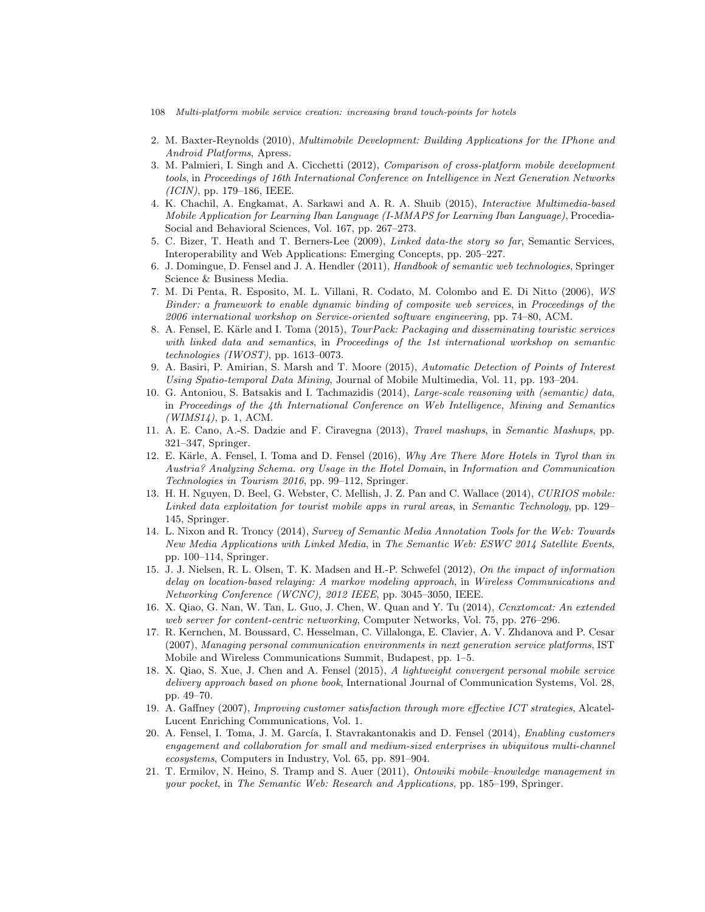- 108 Multi-platform mobile service creation: increasing brand touch-points for hotels
- 2. M. Baxter-Reynolds (2010), Multimobile Development: Building Applications for the IPhone and Android Platforms, Apress.
- 3. M. Palmieri, I. Singh and A. Cicchetti (2012), Comparison of cross-platform mobile development tools, in Proceedings of 16th International Conference on Intelligence in Next Generation Networks (ICIN), pp. 179–186, IEEE.
- 4. K. Chachil, A. Engkamat, A. Sarkawi and A. R. A. Shuib (2015), Interactive Multimedia-based Mobile Application for Learning Iban Language (I-MMAPS for Learning Iban Language), Procedia-Social and Behavioral Sciences, Vol. 167, pp. 267–273.
- 5. C. Bizer, T. Heath and T. Berners-Lee (2009), Linked data-the story so far, Semantic Services, Interoperability and Web Applications: Emerging Concepts, pp. 205–227.
- 6. J. Domingue, D. Fensel and J. A. Hendler (2011), Handbook of semantic web technologies, Springer Science & Business Media.
- 7. M. Di Penta, R. Esposito, M. L. Villani, R. Codato, M. Colombo and E. Di Nitto (2006), WS Binder: a framework to enable dynamic binding of composite web services, in Proceedings of the 2006 international workshop on Service-oriented software engineering, pp. 74–80, ACM.
- 8. A. Fensel, E. Kärle and I. Toma (2015), *TourPack: Packaging and disseminating touristic services* with linked data and semantics, in Proceedings of the 1st international workshop on semantic technologies (IWOST), pp. 1613–0073.
- 9. A. Basiri, P. Amirian, S. Marsh and T. Moore (2015), Automatic Detection of Points of Interest Using Spatio-temporal Data Mining, Journal of Mobile Multimedia, Vol. 11, pp. 193–204.
- 10. G. Antoniou, S. Batsakis and I. Tachmazidis (2014), Large-scale reasoning with (semantic) data, in Proceedings of the 4th International Conference on Web Intelligence, Mining and Semantics  $(WIMS14)$ , p. 1, ACM.
- 11. A. E. Cano, A.-S. Dadzie and F. Ciravegna (2013), Travel mashups, in Semantic Mashups, pp. 321–347, Springer.
- 12. E. Kärle, A. Fensel, I. Toma and D. Fensel (2016), Why Are There More Hotels in Tyrol than in Austria? Analyzing Schema. org Usage in the Hotel Domain, in Information and Communication Technologies in Tourism 2016, pp. 99–112, Springer.
- 13. H. H. Nguyen, D. Beel, G. Webster, C. Mellish, J. Z. Pan and C. Wallace (2014), CURIOS mobile: Linked data exploitation for tourist mobile apps in rural areas, in Semantic Technology, pp. 129– 145, Springer.
- 14. L. Nixon and R. Troncy (2014), Survey of Semantic Media Annotation Tools for the Web: Towards New Media Applications with Linked Media, in The Semantic Web: ESWC 2014 Satellite Events, pp. 100–114, Springer.
- 15. J. J. Nielsen, R. L. Olsen, T. K. Madsen and H.-P. Schwefel (2012), On the impact of information delay on location-based relaying: A markov modeling approach, in Wireless Communications and Networking Conference (WCNC), 2012 IEEE, pp. 3045–3050, IEEE.
- 16. X. Qiao, G. Nan, W. Tan, L. Guo, J. Chen, W. Quan and Y. Tu (2014), Conxtomcat: An extended web server for content-centric networking, Computer Networks, Vol. 75, pp. 276–296.
- 17. R. Kernchen, M. Boussard, C. Hesselman, C. Villalonga, E. Clavier, A. V. Zhdanova and P. Cesar (2007), Managing personal communication environments in next generation service platforms, IST Mobile and Wireless Communications Summit, Budapest, pp. 1–5.
- 18. X. Qiao, S. Xue, J. Chen and A. Fensel (2015), A lightweight convergent personal mobile service delivery approach based on phone book, International Journal of Communication Systems, Vol. 28, pp. 49–70.
- 19. A. Gaffney (2007), Improving customer satisfaction through more effective ICT strategies, Alcatel-Lucent Enriching Communications, Vol. 1.
- 20. A. Fensel, I. Toma, J. M. García, I. Stavrakantonakis and D. Fensel (2014), Enabling customers engagement and collaboration for small and medium-sized enterprises in ubiquitous multi-channel ecosystems, Computers in Industry, Vol. 65, pp. 891–904.
- 21. T. Ermilov, N. Heino, S. Tramp and S. Auer (2011), Ontowiki mobile–knowledge management in your pocket, in The Semantic Web: Research and Applications, pp. 185–199, Springer.